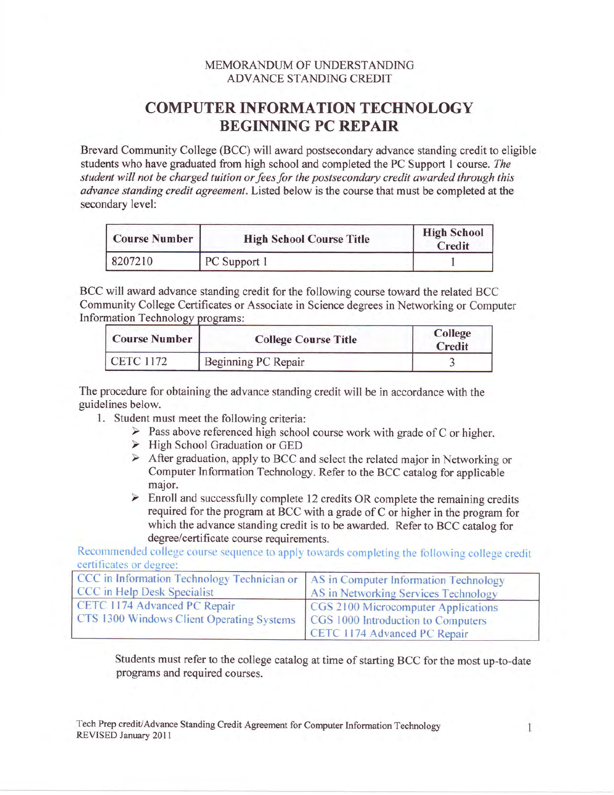## MEMORANDUM OF UNDERSTANDING ADVANCE STANDING CREDIT

## COMPUTER INFORMATION TECHNOLOGY BEGINNING PC REPAIR

Brevard Community College (BCC) will award postsecondary advance standing credit to eligible students who have graduated from high school and completed the PC Support I conrse. The student will not be charged tuition or fees for the postsecondary credit awarded through this advance standing credit agreement. Listed below is the course that must be completed at the secondary level:

| <b>Course Number</b> | <b>High School Course Title</b> | <b>High School</b><br>Credit |
|----------------------|---------------------------------|------------------------------|
| 8207210              | PC Support 1                    |                              |

BCC will award advance standing credit for the following course toward the related BCC Community College Certificates or Associate in Science degrees in Networking or Computer Information Technology pro

| <b>Course Number</b> | <b>College Course Title</b> | <b>College</b><br>Credit |
|----------------------|-----------------------------|--------------------------|
| CETC 1172            | Beginning PC Repair         |                          |

The procedure for obtaining the advance standing credit will be in accordance with the guidelines below.

- 
- 1. Student must meet the following criteria:<br>  $\triangleright$  Pass above referenced high school course work with grade of C or higher.
	- $\triangleright$  High School Graduation or GED
	- $\triangleright$  After graduation, apply to BCC and select the related major in Networking or Computer Information Technology. Refer to the BCC catalog for applicable major.
	- $\triangleright$  Enroll and successfully complete 12 credits OR complete the remaining credits required for the program at BCC with a grade of C or higher in the program for which the advance standing credit is to be awarded. Refer to BCC catalog for degree/certificate course requirements.

Recommended college course sequence to apply towards completing the following college credit certificates or de

| CCC in Information Technology Technician or AS in Computer Information Technology |                                      |
|-----------------------------------------------------------------------------------|--------------------------------------|
| CCC in Help Desk Specialist                                                       | AS in Networking Services Technology |
| CETC 1174 Advanced PC Repair                                                      | CGS 2100 Microcomputer Applications  |
| CTS 1300 Windows Client Operating Systems                                         | CGS 1000 Introduction to Computers   |
|                                                                                   | CETC 1174 Advanced PC Repair         |

Students must refer to the college catalog at time of starting BCC for the most up-to-date programs and required courses.

Tech Prep credit/Advance Standing Credit Agreement for Computer Information Technology REVISED January 2011